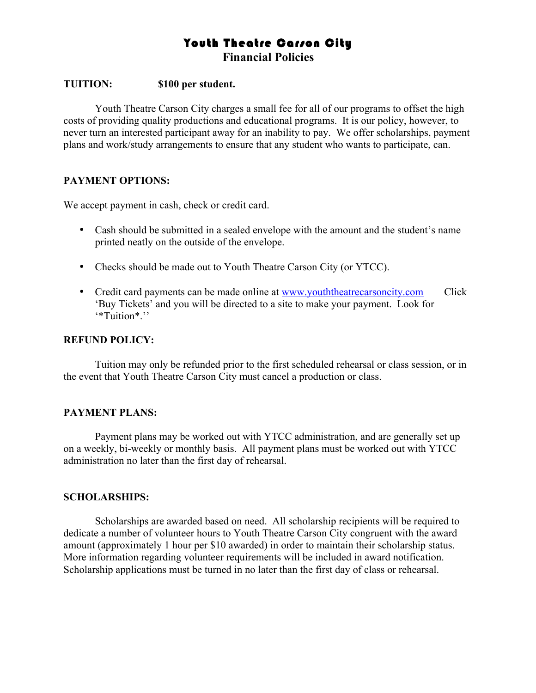# Youth Theatre Carson City **Financial Policies**

#### **TUITION: \$100 per student.**

Youth Theatre Carson City charges a small fee for all of our programs to offset the high costs of providing quality productions and educational programs. It is our policy, however, to never turn an interested participant away for an inability to pay. We offer scholarships, payment plans and work/study arrangements to ensure that any student who wants to participate, can.

#### **PAYMENT OPTIONS:**

We accept payment in cash, check or credit card.

- Cash should be submitted in a sealed envelope with the amount and the student's name printed neatly on the outside of the envelope.
- Checks should be made out to Youth Theatre Carson City (or YTCC).
- Credit card payments can be made online at www.youththeatrecarsoncity.com Click 'Buy Tickets' and you will be directed to a site to make your payment. Look for '\*Tuition\*.''

#### **REFUND POLICY:**

Tuition may only be refunded prior to the first scheduled rehearsal or class session, or in the event that Youth Theatre Carson City must cancel a production or class.

#### **PAYMENT PLANS:**

Payment plans may be worked out with YTCC administration, and are generally set up on a weekly, bi-weekly or monthly basis. All payment plans must be worked out with YTCC administration no later than the first day of rehearsal.

#### **SCHOLARSHIPS:**

Scholarships are awarded based on need. All scholarship recipients will be required to dedicate a number of volunteer hours to Youth Theatre Carson City congruent with the award amount (approximately 1 hour per \$10 awarded) in order to maintain their scholarship status. More information regarding volunteer requirements will be included in award notification. Scholarship applications must be turned in no later than the first day of class or rehearsal.